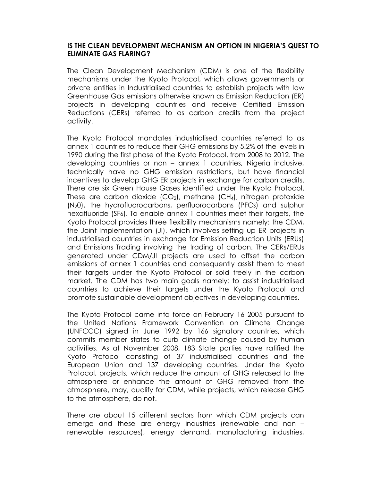## **IS THE CLEAN DEVELOPMENT MECHANISM AN OPTION IN NIGERIA'S QUEST TO ELIMINATE GAS FLARING?**

The Clean Development Mechanism (CDM) is one of the flexibility mechanisms under the Kyoto Protocol, which allows governments or private entities in Industrialised countries to establish projects with low GreenHouse Gas emissions otherwise known as Emission Reduction (ER) projects in developing countries and receive Certified Emission Reductions (CERs) referred to as carbon credits from the project activity.

The Kyoto Protocol mandates industrialised countries referred to as annex 1 countries to reduce their GHG emissions by 5.2% of the levels in 1990 during the first phase of the Kyoto Protocol, from 2008 to 2012. The developing countries or non – annex 1 countries, Nigeria inclusive, technically have no GHG emission restrictions, but have financial incentives to develop GHG ER projects in exchange for carbon credits. There are six Green House Gases identified under the Kyoto Protocol. These are carbon dioxide (CO2), methane (CH4), nitrogen protoxide (N20), the hydrofluorocarbons, perfluorocarbons (PFCs) and sulphur hexafluoride (SF6). To enable annex 1 countries meet their targets, the Kyoto Protocol provides three flexibility mechanisms namely: the CDM, the Joint Implementation (JI), which involves setting up ER projects in industrialised countries in exchange for Emission Reduction Units (ERUs) and Emissions Trading involving the trading of carbon. The CERs/ERUs generated under CDM/JI projects are used to offset the carbon emissions of annex 1 countries and consequently assist them to meet their targets under the Kyoto Protocol or sold freely in the carbon market. The CDM has two main goals namely: to assist industrialised countries to achieve their targets under the Kyoto Protocol and promote sustainable development objectives in developing countries.

The Kyoto Protocol came into force on February 16 2005 pursuant to the United Nations Framework Convention on Climate Change (UNFCCC) signed in June 1992 by 166 signatory countries, which commits member states to curb climate change caused by human activities. As at November 2008, 183 State parties have ratified the Kyoto Protocol consisting of 37 industrialised countries and the European Union and 137 developing countries. Under the Kyoto Protocol, projects, which reduce the amount of GHG released to the atmosphere or enhance the amount of GHG removed from the atmosphere, may, qualify for CDM, while projects, which release GHG to the atmosphere, do not.

There are about 15 different sectors from which CDM projects can emerge and these are energy industries (renewable and non – renewable resources), energy demand, manufacturing industries,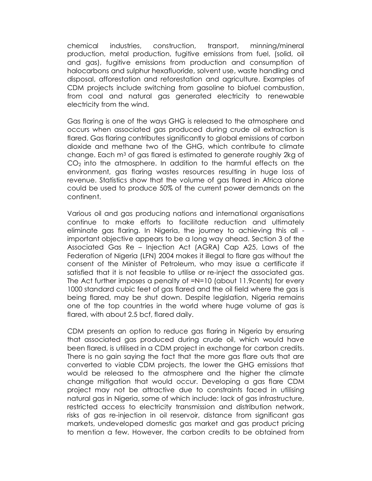chemical industries, construction, transport, minning/mineral production, metal production, fugitive emissions from fuel, (solid, oil and gas), fugitive emissions from production and consumption of halocarbons and sulphur hexafluoride, solvent use, waste handling and disposal, afforestation and reforestation and agriculture. Examples of CDM projects include switching from gasoline to biofuel combustion, from coal and natural gas generated electricity to renewable electricity from the wind.

Gas flaring is one of the ways GHG is released to the atmosphere and occurs when associated gas produced during crude oil extraction is flared. Gas flaring contributes significantly to global emissions of carbon dioxide and methane two of the GHG, which contribute to climate change. Each m3 of gas flared is estimated to generate roughly 2kg of  $CO<sub>2</sub>$  into the atmosphere. In addition to the harmful effects on the environment, gas flaring wastes resources resulting in huge loss of revenue. Statistics show that the volume of gas flared in Africa alone could be used to produce 50% of the current power demands on the continent.

Various oil and gas producing nations and international organisations continue to make efforts to facilitate reduction and ultimately eliminate gas flaring. In Nigeria, the journey to achieving this all important objective appears to be a long way ahead. Section 3 of the Associated Gas Re – Injection Act (AGRA) Cap A25, Laws of the Federation of Nigeria (LFN) 2004 makes it illegal to flare gas without the consent of the Minister of Petroleum, who may issue a certificate if satisfied that it is not feasible to utilise or re-inject the associated gas. The Act further imposes a penalty of =N=10 (about 11.9cents) for every 1000 standard cubic feet of gas flared and the oil field where the gas is being flared, may be shut down. Despite legislation, Nigeria remains one of the top countries in the world where huge volume of gas is flared, with about 2.5 bcf, flared daily.

CDM presents an option to reduce gas flaring in Nigeria by ensuring that associated gas produced during crude oil, which would have been flared, is utilised in a CDM project in exchange for carbon credits. There is no gain saying the fact that the more gas flare outs that are converted to viable CDM projects, the lower the GHG emissions that would be released to the atmosphere and the higher the climate change mitigation that would occur. Developing a gas flare CDM project may not be attractive due to constraints faced in utilising natural gas in Nigeria, some of which include: lack of gas infrastructure, restricted access to electricity transmission and distribution network, risks of gas re-injection in oil reservoir, distance from significant gas markets, undeveloped domestic gas market and gas product pricing to mention a few. However, the carbon credits to be obtained from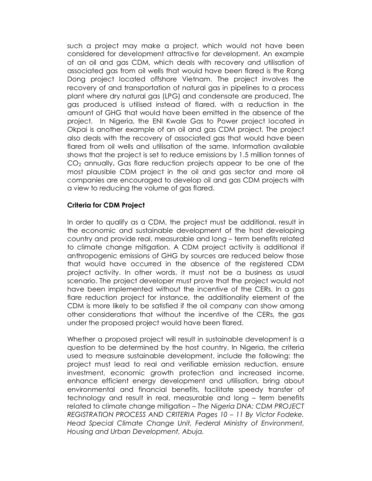such a project may make a project, which would not have been considered for development attractive for development. An example of an oil and gas CDM, which deals with recovery and utilisation of associated gas from oil wells that would have been flared is the Rang Dong project located offshore Vietnam. The project involves the recovery of and transportation of natural gas in pipelines to a process plant where dry natural gas (LPG) and condensate are produced. The gas produced is utilised instead of flared, with a reduction in the amount of GHG that would have been emitted in the absence of the project. In Nigeria, the ENI Kwale Gas to Power project located in Okpai is another example of an oil and gas CDM project. The project also deals with the recovery of associated gas that would have been flared from oil wells and utilisation of the same. Information available shows that the project is set to reduce emissions by 1.5 million tonnes of CO2 annually**.** Gas flare reduction projects appear to be one of the most plausible CDM project in the oil and gas sector and more oil companies are encouraged to develop oil and gas CDM projects with a view to reducing the volume of gas flared.

## **Criteria for CDM Project**

In order to qualify as a CDM, the project must be additional, result in the economic and sustainable development of the host developing country and provide real, measurable and long – term benefits related to climate change mitigation. A CDM project activity is additional if anthropogenic emissions of GHG by sources are reduced below those that would have occurred in the absence of the registered CDM project activity. In other words, it must not be a business as usual scenario. The project developer must prove that the project would not have been implemented without the incentive of the CERs. In a gas flare reduction project for instance, the additionality element of the CDM is more likely to be satisfied if the oil company can show among other considerations that without the incentive of the CERs, the gas under the proposed project would have been flared.

Whether a proposed project will result in sustainable development is a question to be determined by the host country. In Nigeria, the criteria used to measure sustainable development, include the following: the project must lead to real and verifiable emission reduction, ensure investment, economic growth protection and increased income, enhance efficient energy development and utilisation, bring about environmental and financial benefits, facilitate speedy transfer of technology and result in real, measurable and long – term benefits related to climate change mitigation – *The Nigeria DNA: CDM PROJECT REGISTRATION PROCESS AND CRITERIA Pages 10 – 11 By Victor Fodeke. Head Special Climate Change Unit, Federal Ministry of Environment, Housing and Urban Development, Abuja.*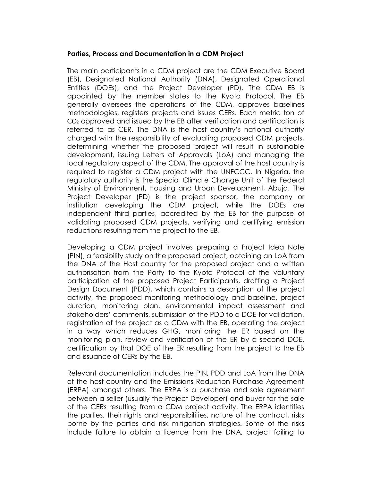## **Parties, Process and Documentation in a CDM Project**

The main participants in a CDM project are the CDM Executive Board (EB), Designated National Authority (DNA), Designated Operational Entities (DOEs), and the Project Developer (PD). The CDM EB is appointed by the member states to the Kyoto Protocol. The EB generally oversees the operations of the CDM, approves baselines methodologies, registers projects and issues CERs. Each metric ton of CO2 approved and issued by the EB after verification and certification is referred to as CER. The DNA is the host country's national authority charged with the responsibility of evaluating proposed CDM projects, determining whether the proposed project will result in sustainable development, issuing Letters of Approvals (LoA) and managing the local regulatory aspect of the CDM. The approval of the host country is required to register a CDM project with the UNFCCC. In Nigeria, the regulatory authority is the Special Climate Change Unit of the Federal Ministry of Environment, Housing and Urban Development, Abuja. The Project Developer (PD) is the project sponsor, the company or institution developing the CDM project, while the DOEs are independent third parties, accredited by the EB for the purpose of validating proposed CDM projects, verifying and certifying emission reductions resulting from the project to the EB.

Developing a CDM project involves preparing a Project Idea Note (PIN), a feasibility study on the proposed project, obtaining an LoA from the DNA of the Host country for the proposed project and a written authorisation from the Party to the Kyoto Protocol of the voluntary participation of the proposed Project Participants, drafting a Project Design Document (PDD), which contains a description of the project activity, the proposed monitoring methodology and baseline, project duration, monitoring plan, environmental impact assessment and stakeholders' comments, submission of the PDD to a DOE for validation, registration of the project as a CDM with the EB, operating the project in a way which reduces GHG, monitoring the ER based on the monitoring plan, review and verification of the ER by a second DOE, certification by that DOE of the ER resulting from the project to the EB and issuance of CERs by the EB.

Relevant documentation includes the PIN, PDD and LoA from the DNA of the host country and the Emissions Reduction Purchase Agreement (ERPA) amongst others. The ERPA is a purchase and sale agreement between a seller (usually the Project Developer) and buyer for the sale of the CERs resulting from a CDM project activity. The ERPA identifies the parties, their rights and responsibilities, nature of the contract, risks borne by the parties and risk mitigation strategies. Some of the risks include failure to obtain a licence from the DNA, project failing to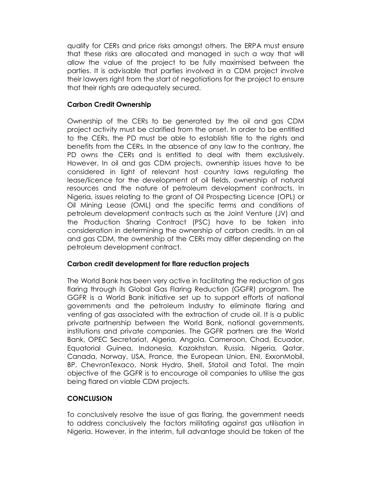qualify for CERs and price risks amongst others. The ERPA must ensure that these risks are allocated and managed in such a way that will allow the value of the project to be fully maximised between the parties. It is advisable that parties involved in a CDM project involve their lawyers right from the start of negotiations for the project to ensure that their rights are adequately secured.

### **Carbon Credit Ownership**

Ownership of the CERs to be generated by the oil and gas CDM project activity must be clarified from the onset. In order to be entitled to the CERs, the PD must be able to establish title to the rights and benefits from the CERs. In the absence of any law to the contrary, the PD owns the CERs and is entitled to deal with them exclusively. However, In oil and gas CDM projects, ownership issues have to be considered in light of relevant host country laws regulating the lease/licence for the development of oil fields, ownership of natural resources and the nature of petroleum development contracts. In Nigeria, issues relating to the grant of Oil Prospecting Licence (OPL) or Oil Mining Lease (OML) and the specific terms and conditions of petroleum development contracts such as the Joint Venture (JV) and the Production Sharing Contract (PSC) have to be taken into consideration in determining the ownership of carbon credits. In an oil and gas CDM, the ownership of the CERs may differ depending on the petroleum development contract.

# **Carbon credit development for flare reduction projects**

The World Bank has been very active in facilitating the reduction of gas flaring through its Global Gas Flaring Reduction (GGFR) program. The GGFR is a World Bank initiative set up to support efforts of national governments and the petroleum Industry to eliminate flaring and venting of gas associated with the extraction of crude oil. It is a public private partnership between the World Bank, national governments, institutions and private companies. The GGFR partners are the World Bank, OPEC Secretariat, Algeria, Angola, Cameroon, Chad, Ecuador, Equatorial Guinea, Indonesia, Kazakhstan, Russia, Nigeria, Qatar, Canada, Norway, USA, France, the European Union, ENI, ExxonMobil, BP, ChevronTexaco, Norsk Hydro, Shell, Statoil and Total. The main objective of the GGFR is to encourage oil companies to utilise the gas being flared on viable CDM projects.

# **CONCLUSION**

To conclusively resolve the issue of gas flaring, the government needs to address conclusively the factors militating against gas utilisation in Nigeria. However, in the interim, full advantage should be taken of the